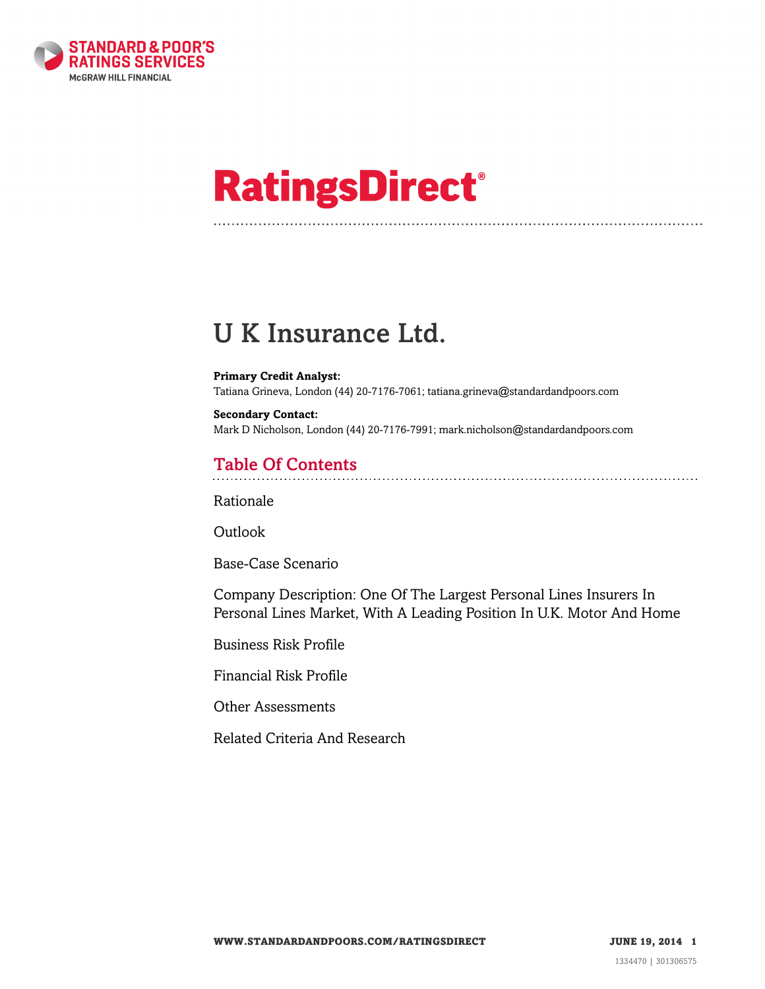

# **RatingsDirect®**

# U K Insurance Ltd.

#### **Primary Credit Analyst:**

Tatiana Grineva, London (44) 20-7176-7061; tatiana.grineva@standardandpoors.com

**Secondary Contact:** Mark D Nicholson, London (44) 20-7176-7991; mark.nicholson@standardandpoors.com

# Table Of Contents

[Rationale](#page-1-0)

Outlook

[Base-Case Scenario](#page-2-0)

[Company Description: One Of The Largest Personal Lines Insurers In](#page-3-0) [Personal Lines Market, With A Leading Position In U.K. Motor And Home](#page-3-0)

[Business Risk Profile](#page-3-1)

[Financial Risk Profile](#page-4-0)

[Other Assessments](#page-6-0)

[Related Criteria And Research](#page-7-0)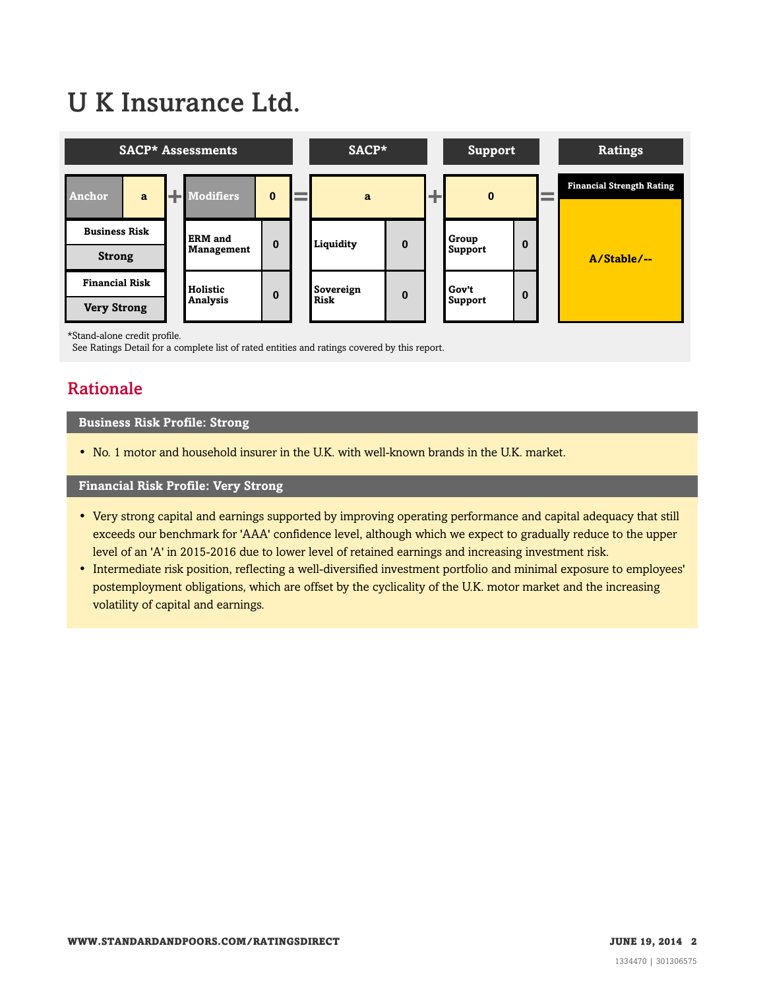# U K Insurance Ltd.



\*Stand-alone credit profile.

<span id="page-1-0"></span>See Ratings Detail for a complete list of rated entities and ratings covered by this report.

# Rationale

#### **Business Risk Profile: Strong**

• No. 1 motor and household insurer in the U.K. with well-known brands in the U.K. market.

#### **Financial Risk Profile: Very Strong**

- Very strong capital and earnings supported by improving operating performance and capital adequacy that still exceeds our benchmark for 'AAA' confidence level, although which we expect to gradually reduce to the upper level of an 'A' in 2015-2016 due to lower level of retained earnings and increasing investment risk.
- Intermediate risk position, reflecting a well-diversified investment portfolio and minimal exposure to employees' postemployment obligations, which are offset by the cyclicality of the U.K. motor market and the increasing volatility of capital and earnings.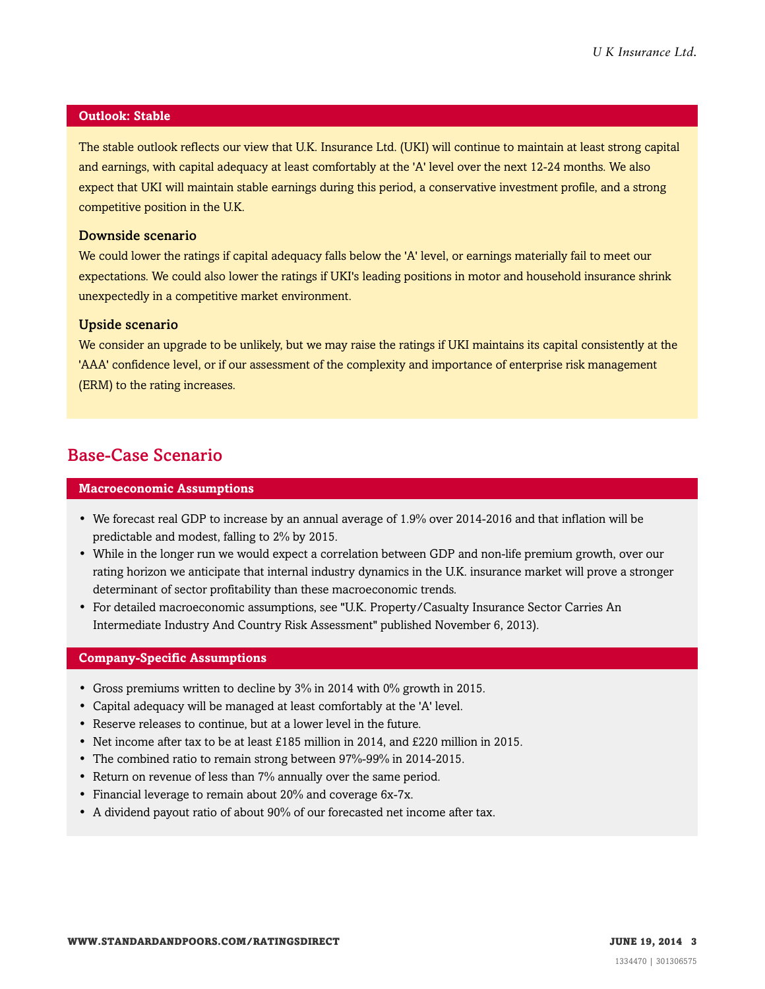#### **Outlook: Stable**

The stable outlook reflects our view that U.K. Insurance Ltd. (UKI) will continue to maintain at least strong capital and earnings, with capital adequacy at least comfortably at the 'A' level over the next 12-24 months. We also expect that UKI will maintain stable earnings during this period, a conservative investment profile, and a strong competitive position in the U.K.

#### Downside scenario

We could lower the ratings if capital adequacy falls below the 'A' level, or earnings materially fail to meet our expectations. We could also lower the ratings if UKI's leading positions in motor and household insurance shrink unexpectedly in a competitive market environment.

#### Upside scenario

We consider an upgrade to be unlikely, but we may raise the ratings if UKI maintains its capital consistently at the 'AAA' confidence level, or if our assessment of the complexity and importance of enterprise risk management (ERM) to the rating increases.

# <span id="page-2-0"></span>Base-Case Scenario

#### **Macroeconomic Assumptions**

- We forecast real GDP to increase by an annual average of 1.9% over 2014-2016 and that inflation will be predictable and modest, falling to 2% by 2015.
- While in the longer run we would expect a correlation between GDP and non-life premium growth, over our rating horizon we anticipate that internal industry dynamics in the U.K. insurance market will prove a stronger determinant of sector profitability than these macroeconomic trends.
- For detailed macroeconomic assumptions, see "U.K. Property/Casualty Insurance Sector Carries An Intermediate Industry And Country Risk Assessment" published November 6, 2013).

#### **Company-Specific Assumptions**

- Gross premiums written to decline by 3% in 2014 with 0% growth in 2015.
- Capital adequacy will be managed at least comfortably at the 'A' level.
- Reserve releases to continue, but at a lower level in the future.
- Net income after tax to be at least £185 million in 2014, and £220 million in 2015.
- The combined ratio to remain strong between 97%-99% in 2014-2015.
- Return on revenue of less than 7% annually over the same period.
- Financial leverage to remain about 20% and coverage 6x-7x.
- A dividend payout ratio of about 90% of our forecasted net income after tax.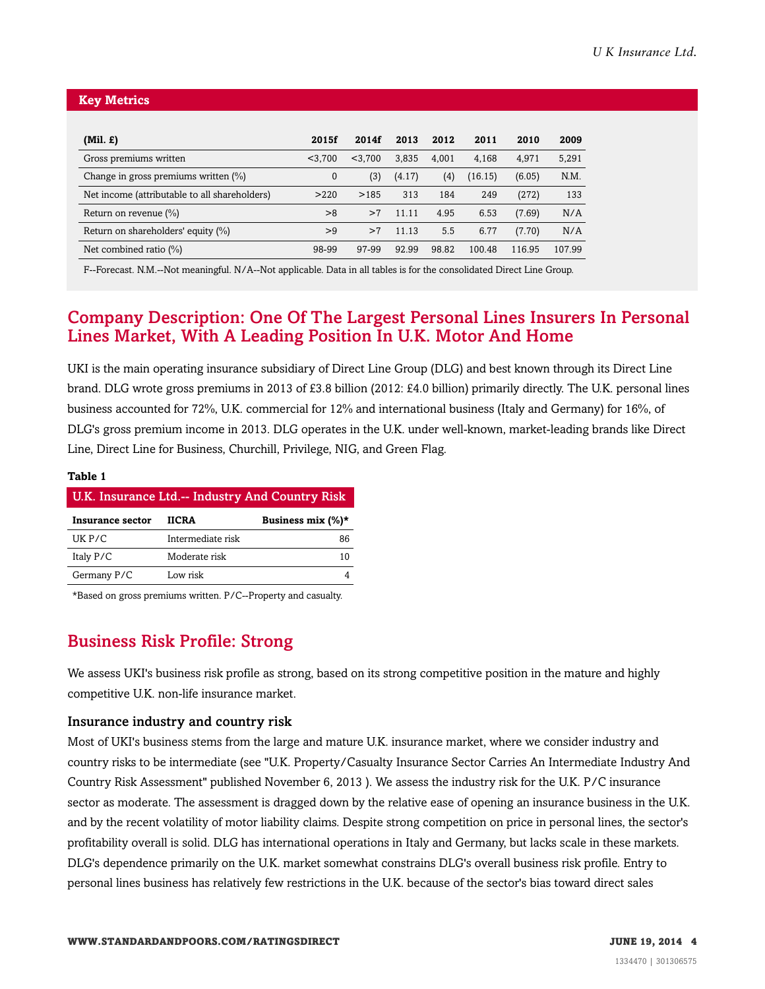#### **Key Metrics**

| (Mil. £)                                      | 2015f    | 2014f   | 2013   | 2012  | 2011    | 2010   | 2009   |
|-----------------------------------------------|----------|---------|--------|-------|---------|--------|--------|
| Gross premiums written                        | < 3.700  | < 3.700 | 3.835  | 4.001 | 4.168   | 4.971  | 5,291  |
| Change in gross premiums written (%)          | $\Omega$ | (3)     | (4.17) | (4)   | (16.15) | (6.05) | N.M.   |
| Net income (attributable to all shareholders) | >220     | >185    | 313    | 184   | 249     | (272)  | 133    |
| Return on revenue $(\%)$                      | >8       | >7      | 11.11  | 4.95  | 6.53    | (7.69) | N/A    |
| Return on shareholders' equity (%)            | >9       | >7      | 11.13  | 5.5   | 6.77    | (7.70) | N/A    |
| Net combined ratio $(\%)$                     | 98-99    | 97-99   | 92.99  | 98.82 | 100.48  | 116.95 | 107.99 |

F--Forecast. N.M.--Not meaningful. N/A--Not applicable. Data in all tables is for the consolidated Direct Line Group.

# <span id="page-3-0"></span>Company Description: One Of The Largest Personal Lines Insurers In Personal Lines Market, With A Leading Position In U.K. Motor And Home

UKI is the main operating insurance subsidiary of Direct Line Group (DLG) and best known through its Direct Line brand. DLG wrote gross premiums in 2013 of £3.8 billion (2012: £4.0 billion) primarily directly. The U.K. personal lines business accounted for 72%, U.K. commercial for 12% and international business (Italy and Germany) for 16%, of DLG's gross premium income in 2013. DLG operates in the U.K. under well-known, market-leading brands like Direct Line, Direct Line for Business, Churchill, Privilege, NIG, and Green Flag.

#### **Table 1**

| U.K. Insurance Ltd.-- Industry And Country Risk |                   |                       |  |  |
|-------------------------------------------------|-------------------|-----------------------|--|--|
| Insurance sector                                | <b>IICRA</b>      | Business mix $(\%)^*$ |  |  |
| $UK$ $P/C$                                      | Intermediate risk | 86                    |  |  |
| Italy P/C                                       | Moderate risk     | 10                    |  |  |
| Germany P/C                                     | Low risk          |                       |  |  |

<span id="page-3-1"></span>\*Based on gross premiums written. P/C--Property and casualty.

# Business Risk Profile: Strong

We assess UKI's business risk profile as strong, based on its strong competitive position in the mature and highly competitive U.K. non-life insurance market.

#### Insurance industry and country risk

Most of UKI's business stems from the large and mature U.K. insurance market, where we consider industry and country risks to be intermediate (see "U.K. Property/Casualty Insurance Sector Carries An Intermediate Industry And Country Risk Assessment" published November 6, 2013 ). We assess the industry risk for the U.K. P/C insurance sector as moderate. The assessment is dragged down by the relative ease of opening an insurance business in the U.K. and by the recent volatility of motor liability claims. Despite strong competition on price in personal lines, the sector's profitability overall is solid. DLG has international operations in Italy and Germany, but lacks scale in these markets. DLG's dependence primarily on the U.K. market somewhat constrains DLG's overall business risk profile. Entry to personal lines business has relatively few restrictions in the U.K. because of the sector's bias toward direct sales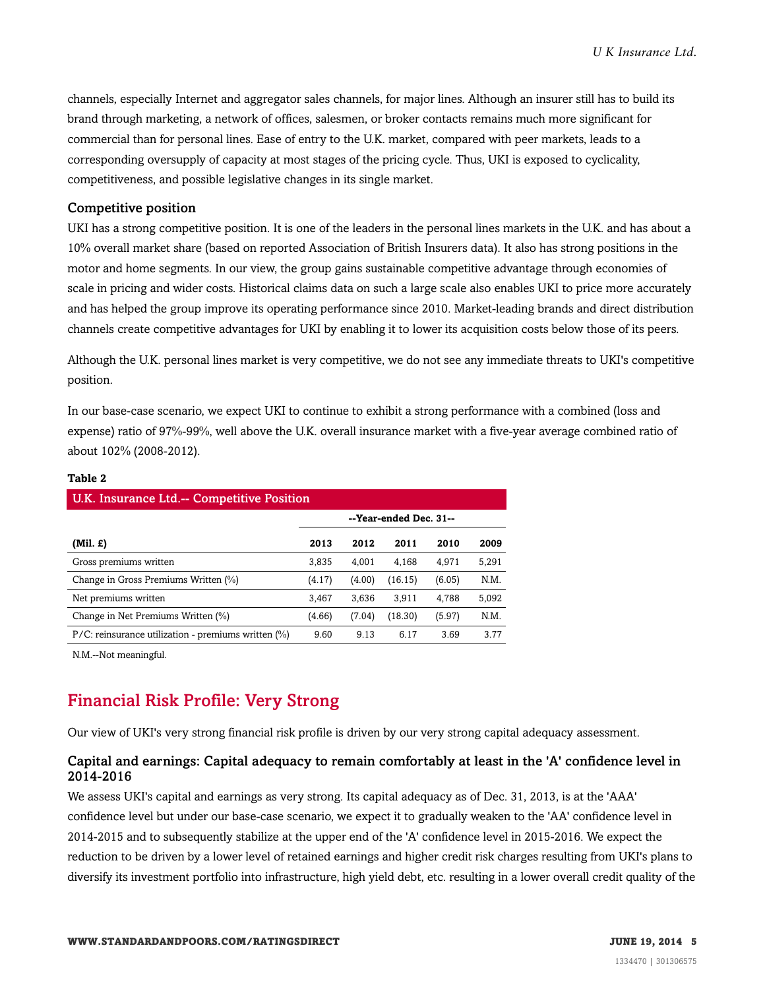channels, especially Internet and aggregator sales channels, for major lines. Although an insurer still has to build its brand through marketing, a network of offices, salesmen, or broker contacts remains much more significant for commercial than for personal lines. Ease of entry to the U.K. market, compared with peer markets, leads to a corresponding oversupply of capacity at most stages of the pricing cycle. Thus, UKI is exposed to cyclicality, competitiveness, and possible legislative changes in its single market.

#### Competitive position

UKI has a strong competitive position. It is one of the leaders in the personal lines markets in the U.K. and has about a 10% overall market share (based on reported Association of British Insurers data). It also has strong positions in the motor and home segments. In our view, the group gains sustainable competitive advantage through economies of scale in pricing and wider costs. Historical claims data on such a large scale also enables UKI to price more accurately and has helped the group improve its operating performance since 2010. Market-leading brands and direct distribution channels create competitive advantages for UKI by enabling it to lower its acquisition costs below those of its peers.

Although the U.K. personal lines market is very competitive, we do not see any immediate threats to UKI's competitive position.

In our base-case scenario, we expect UKI to continue to exhibit a strong performance with a combined (loss and expense) ratio of 97%-99%, well above the U.K. overall insurance market with a five-year average combined ratio of about 102% (2008-2012).

| U.K. Insurance Ltd.-- Competitive Position |        |         |        |       |  |  |
|--------------------------------------------|--------|---------|--------|-------|--|--|
| --Year-ended Dec. 31--                     |        |         |        |       |  |  |
| 2013                                       | 2012   | 2011    | 2010   | 2009  |  |  |
| 3,835                                      | 4.001  | 4,168   | 4.971  | 5,291 |  |  |
| (4.17)                                     | (4.00) | (16.15) | (6.05) | N.M.  |  |  |
| 3,467                                      | 3,636  | 3,911   | 4,788  | 5,092 |  |  |
| (4.66)                                     | (7.04) | (18.30) | (5.97) | N.M.  |  |  |
| 9.60                                       | 9.13   | 6.17    | 3.69   | 3.77  |  |  |
|                                            |        |         |        |       |  |  |

#### **Table 2**

<span id="page-4-0"></span>N.M.--Not meaningful.

# Financial Risk Profile: Very Strong

Our view of UKI's very strong financial risk profile is driven by our very strong capital adequacy assessment.

#### Capital and earnings: Capital adequacy to remain comfortably at least in the 'A' confidence level in 2014-2016

We assess UKI's capital and earnings as very strong. Its capital adequacy as of Dec. 31, 2013, is at the 'AAA' confidence level but under our base-case scenario, we expect it to gradually weaken to the 'AA' confidence level in 2014-2015 and to subsequently stabilize at the upper end of the 'A' confidence level in 2015-2016. We expect the reduction to be driven by a lower level of retained earnings and higher credit risk charges resulting from UKI's plans to diversify its investment portfolio into infrastructure, high yield debt, etc. resulting in a lower overall credit quality of the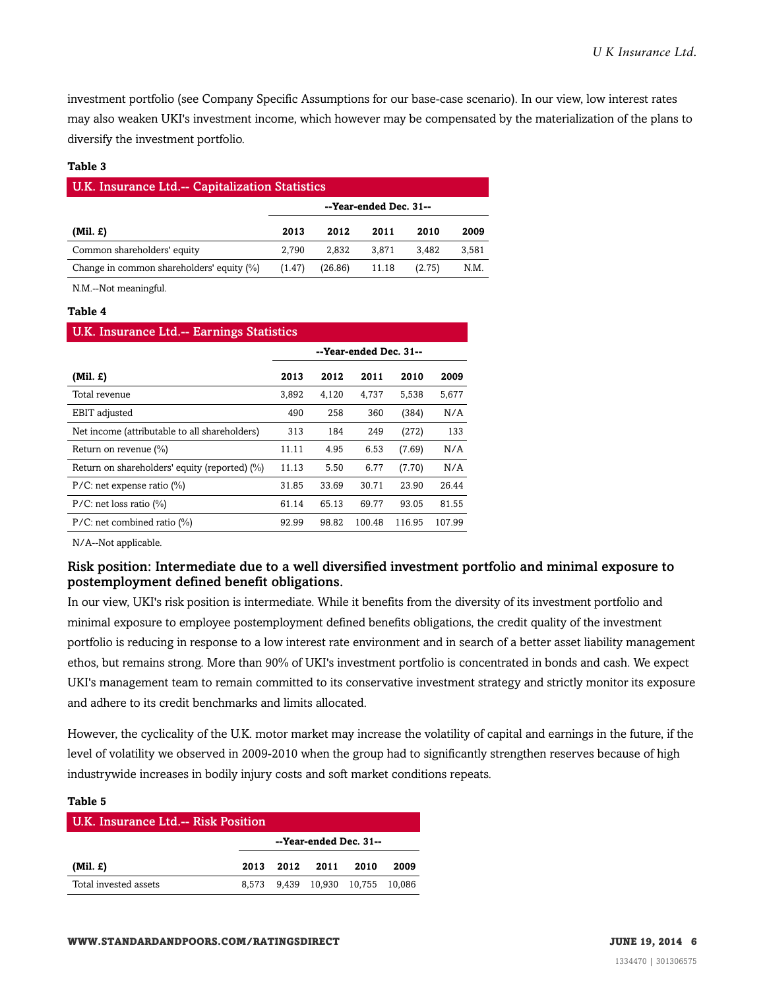investment portfolio (see Company Specific Assumptions for our base-case scenario). In our view, low interest rates may also weaken UKI's investment income, which however may be compensated by the materialization of the plans to diversify the investment portfolio.

#### **Table 3**

| <b>U.K. Insurance Ltd.-- Capitalization Statistics</b> |                        |         |       |        |       |  |
|--------------------------------------------------------|------------------------|---------|-------|--------|-------|--|
|                                                        | --Year-ended Dec. 31-- |         |       |        |       |  |
| $(Mil. \mathcal{L})$                                   | 2013                   | 2012    | 2011  | 2010   | 2009  |  |
| Common shareholders' equity                            | 2.790                  | 2.832   | 3.871 | 3.482  | 3.581 |  |
| Change in common shareholders' equity (%)              | (1.47)                 | (26.86) | 11.18 | (2.75) | N.M.  |  |

N.M.--Not meaningful.

#### **Table 4**

# U.K. Insurance Ltd.-- Earnings Statistics **--Year-ended Dec. 31-- (Mil. £) 2013 2012 2011 2010 2009** Total revenue 3,892 4,120 4,737 5,538 5,677 EBIT adjusted 490 258 360 (384) N/A Net income (attributable to all shareholders) 313 184 249 (272) 133 Return on revenue (%) 11.11 4.95 6.53 (7.69) N/A Return on shareholders' equity (reported) (%) 11.13 5.50 6.77 (7.70) N/A P/C: net expense ratio (%) 31.85 33.69 30.71 23.90 26.44 P/C: net loss ratio (%) 61.14 65.13 69.77 93.05 81.55

P/C: net combined ratio (%) 92.99 98.82 100.48 116.95 107.99

N/A--Not applicable.

#### Risk position: Intermediate due to a well diversified investment portfolio and minimal exposure to postemployment defined benefit obligations.

In our view, UKI's risk position is intermediate. While it benefits from the diversity of its investment portfolio and minimal exposure to employee postemployment defined benefits obligations, the credit quality of the investment portfolio is reducing in response to a low interest rate environment and in search of a better asset liability management ethos, but remains strong. More than 90% of UKI's investment portfolio is concentrated in bonds and cash. We expect UKI's management team to remain committed to its conservative investment strategy and strictly monitor its exposure and adhere to its credit benchmarks and limits allocated.

However, the cyclicality of the U.K. motor market may increase the volatility of capital and earnings in the future, if the level of volatility we observed in 2009-2010 when the group had to significantly strengthen reserves because of high industrywide increases in bodily injury costs and soft market conditions repeats.

#### **Table 5**

| <b>U.K. Insurance Ltd.-- Risk Position</b> |                        |  |                                  |      |      |
|--------------------------------------------|------------------------|--|----------------------------------|------|------|
|                                            | --Year-ended Dec. 31-- |  |                                  |      |      |
| $(Mil. \mathcal{L})$                       | 2013                   |  | 2012 2011                        | 2010 | 2009 |
| Total invested assets                      |                        |  | 8,573 9,439 10,930 10,755 10,086 |      |      |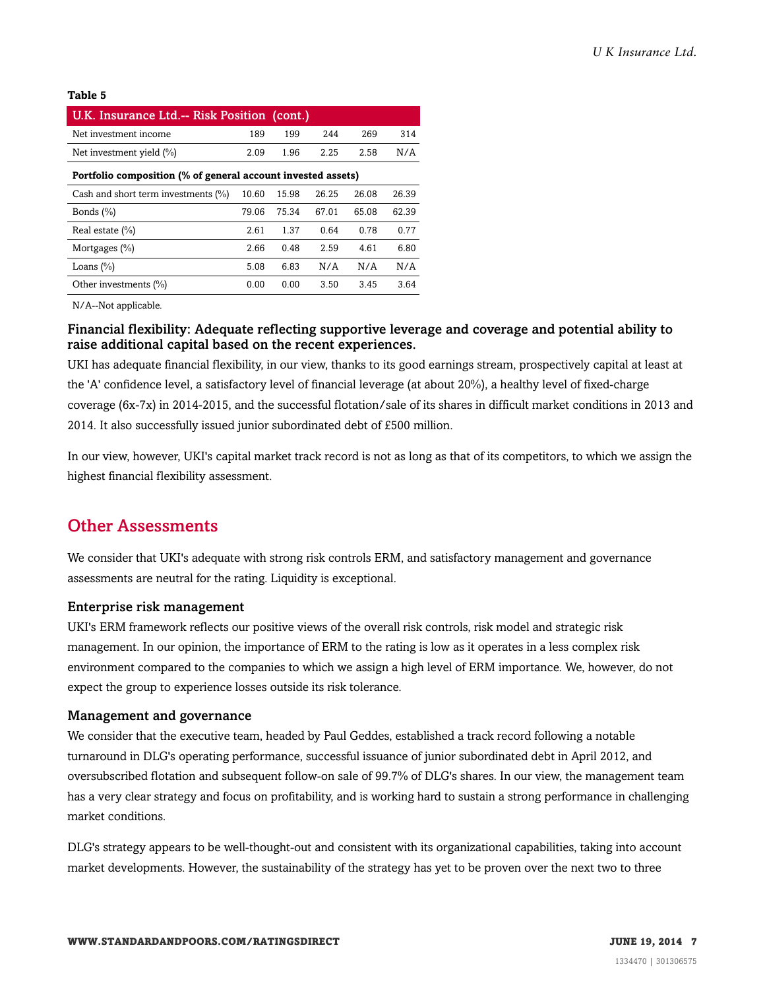#### **Table 5**

| U.K. Insurance Ltd.-- Risk Position (cont.)                  |       |       |       |       |       |  |
|--------------------------------------------------------------|-------|-------|-------|-------|-------|--|
| Net investment income                                        | 189   | 199   | 244   | 269   | 314   |  |
| Net investment yield $(\%)$                                  | 2.09  | 1.96  | 2.25  | 2.58  | N/A   |  |
| Portfolio composition (% of general account invested assets) |       |       |       |       |       |  |
| Cash and short term investments (%)                          | 10.60 | 15.98 | 26.25 | 26.08 | 26.39 |  |
| Bonds $(\% )$                                                | 79.06 | 75.34 | 67.01 | 65.08 | 62.39 |  |
| Real estate $(\% )$                                          | 2.61  | 1.37  | 0.64  | 0.78  | 0.77  |  |
| Mortgages $(\% )$                                            | 2.66  | 0.48  | 2.59  | 4.61  | 6.80  |  |
| Loans $(\% )$                                                | 5.08  | 6.83  | N/A   | N/A   | N/A   |  |
| Other investments (%)                                        | 0.00  | 0.00  | 3.50  | 3.45  | 3.64  |  |

N/A--Not applicable.

#### Financial flexibility: Adequate reflecting supportive leverage and coverage and potential ability to raise additional capital based on the recent experiences.

UKI has adequate financial flexibility, in our view, thanks to its good earnings stream, prospectively capital at least at the 'A' confidence level, a satisfactory level of financial leverage (at about 20%), a healthy level of fixed-charge coverage (6x-7x) in 2014-2015, and the successful flotation/sale of its shares in difficult market conditions in 2013 and 2014. It also successfully issued junior subordinated debt of £500 million.

In our view, however, UKI's capital market track record is not as long as that of its competitors, to which we assign the highest financial flexibility assessment.

### <span id="page-6-0"></span>Other Assessments

We consider that UKI's adequate with strong risk controls ERM, and satisfactory management and governance assessments are neutral for the rating. Liquidity is exceptional.

#### Enterprise risk management

UKI's ERM framework reflects our positive views of the overall risk controls, risk model and strategic risk management. In our opinion, the importance of ERM to the rating is low as it operates in a less complex risk environment compared to the companies to which we assign a high level of ERM importance. We, however, do not expect the group to experience losses outside its risk tolerance.

#### Management and governance

We consider that the executive team, headed by Paul Geddes, established a track record following a notable turnaround in DLG's operating performance, successful issuance of junior subordinated debt in April 2012, and oversubscribed flotation and subsequent follow-on sale of 99.7% of DLG's shares. In our view, the management team has a very clear strategy and focus on profitability, and is working hard to sustain a strong performance in challenging market conditions.

DLG's strategy appears to be well-thought-out and consistent with its organizational capabilities, taking into account market developments. However, the sustainability of the strategy has yet to be proven over the next two to three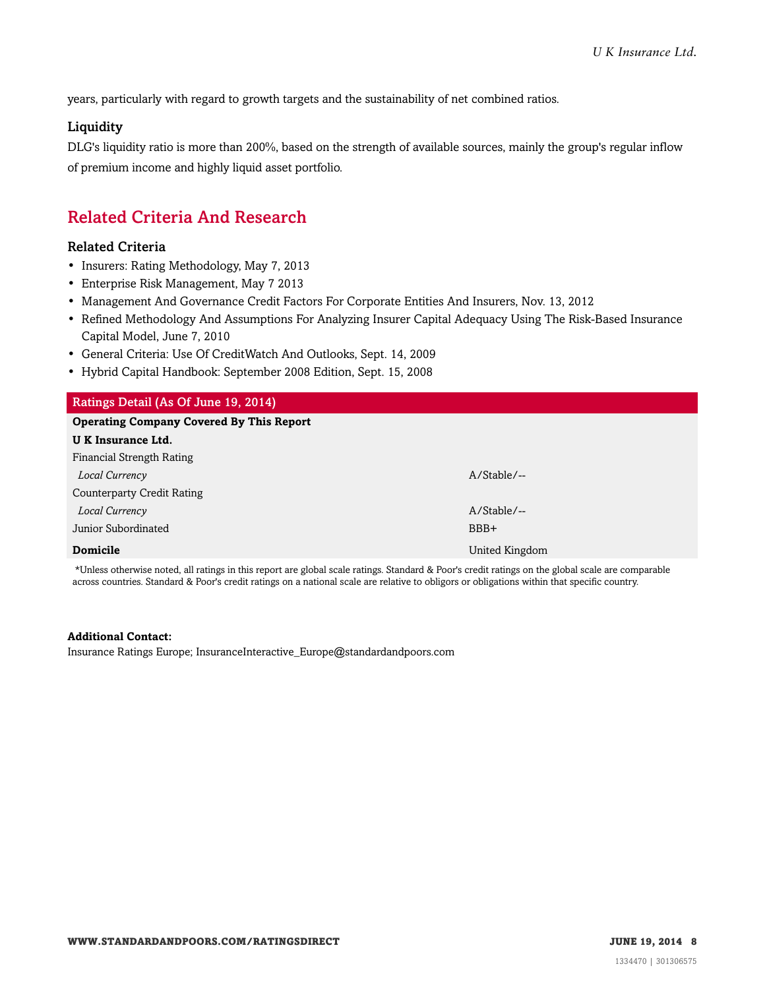years, particularly with regard to growth targets and the sustainability of net combined ratios.

#### **Liquidity**

DLG's liquidity ratio is more than 200%, based on the strength of available sources, mainly the group's regular inflow of premium income and highly liquid asset portfolio.

# <span id="page-7-0"></span>Related Criteria And Research

#### Related Criteria

- Insurers: Rating Methodology, May 7, 2013
- Enterprise Risk Management, May 7 2013
- Management And Governance Credit Factors For Corporate Entities And Insurers, Nov. 13, 2012
- Refined Methodology And Assumptions For Analyzing Insurer Capital Adequacy Using The Risk-Based Insurance Capital Model, June 7, 2010
- General Criteria: Use Of CreditWatch And Outlooks, Sept. 14, 2009
- Hybrid Capital Handbook: September 2008 Edition, Sept. 15, 2008

| Ratings Detail (As Of June 19, 2014)            |                |  |  |  |
|-------------------------------------------------|----------------|--|--|--|
| <b>Operating Company Covered By This Report</b> |                |  |  |  |
| U K Insurance Ltd.                              |                |  |  |  |
| Financial Strength Rating                       |                |  |  |  |
| Local Currency                                  | $A/Stable/$ -- |  |  |  |
| Counterparty Credit Rating                      |                |  |  |  |
| Local Currency                                  | $A/Stable/--$  |  |  |  |
| Junior Subordinated                             | BBB+           |  |  |  |
| <b>Domicile</b>                                 | United Kingdom |  |  |  |

\*Unless otherwise noted, all ratings in this report are global scale ratings. Standard & Poor's credit ratings on the global scale are comparable across countries. Standard & Poor's credit ratings on a national scale are relative to obligors or obligations within that specific country.

#### **Additional Contact:**

Insurance Ratings Europe; InsuranceInteractive\_Europe@standardandpoors.com